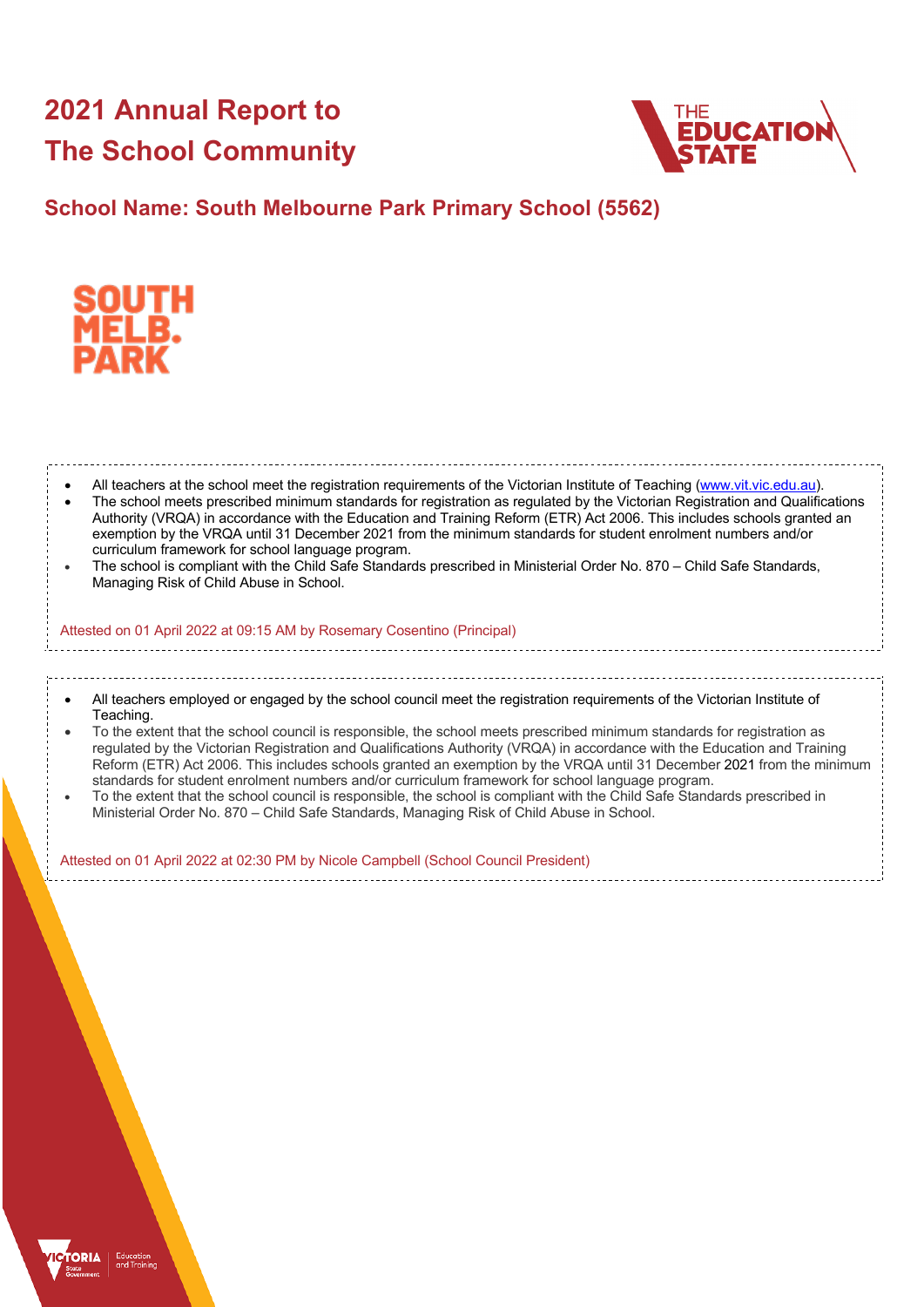# **2021 Annual Report to The School Community**



## **School Name: South Melbourne Park Primary School (5562)**



| All teachers at the school meet the registration requirements of the Victorian Institute of Teaching (www.vit.vic.edu.au).<br>The school meets prescribed minimum standards for registration as regulated by the Victorian Registration and Qualifications<br>Authority (VRQA) in accordance with the Education and Training Reform (ETR) Act 2006. This includes schools granted an<br>exemption by the VRQA until 31 December 2021 from the minimum standards for student enrolment numbers and/or<br>curriculum framework for school language program.<br>The school is compliant with the Child Safe Standards prescribed in Ministerial Order No. 870 - Child Safe Standards,<br>Managing Risk of Child Abuse in School.                                                                                                                       |
|-----------------------------------------------------------------------------------------------------------------------------------------------------------------------------------------------------------------------------------------------------------------------------------------------------------------------------------------------------------------------------------------------------------------------------------------------------------------------------------------------------------------------------------------------------------------------------------------------------------------------------------------------------------------------------------------------------------------------------------------------------------------------------------------------------------------------------------------------------|
| Attested on 01 April 2022 at 09:15 AM by Rosemary Cosentino (Principal)                                                                                                                                                                                                                                                                                                                                                                                                                                                                                                                                                                                                                                                                                                                                                                             |
|                                                                                                                                                                                                                                                                                                                                                                                                                                                                                                                                                                                                                                                                                                                                                                                                                                                     |
| All teachers employed or engaged by the school council meet the registration requirements of the Victorian Institute of<br>Teaching.<br>To the extent that the school council is responsible, the school meets prescribed minimum standards for registration as<br>regulated by the Victorian Registration and Qualifications Authority (VRQA) in accordance with the Education and Training<br>Reform (ETR) Act 2006. This includes schools granted an exemption by the VRQA until 31 December 2021 from the minimum<br>standards for student enrolment numbers and/or curriculum framework for school language program.<br>To the extent that the school council is responsible, the school is compliant with the Child Safe Standards prescribed in<br>Ministerial Order No. 870 - Child Safe Standards, Managing Risk of Child Abuse in School. |
| Attested on 01 April 2022 at 02:30 PM by Nicole Campbell (School Council President)                                                                                                                                                                                                                                                                                                                                                                                                                                                                                                                                                                                                                                                                                                                                                                 |
|                                                                                                                                                                                                                                                                                                                                                                                                                                                                                                                                                                                                                                                                                                                                                                                                                                                     |

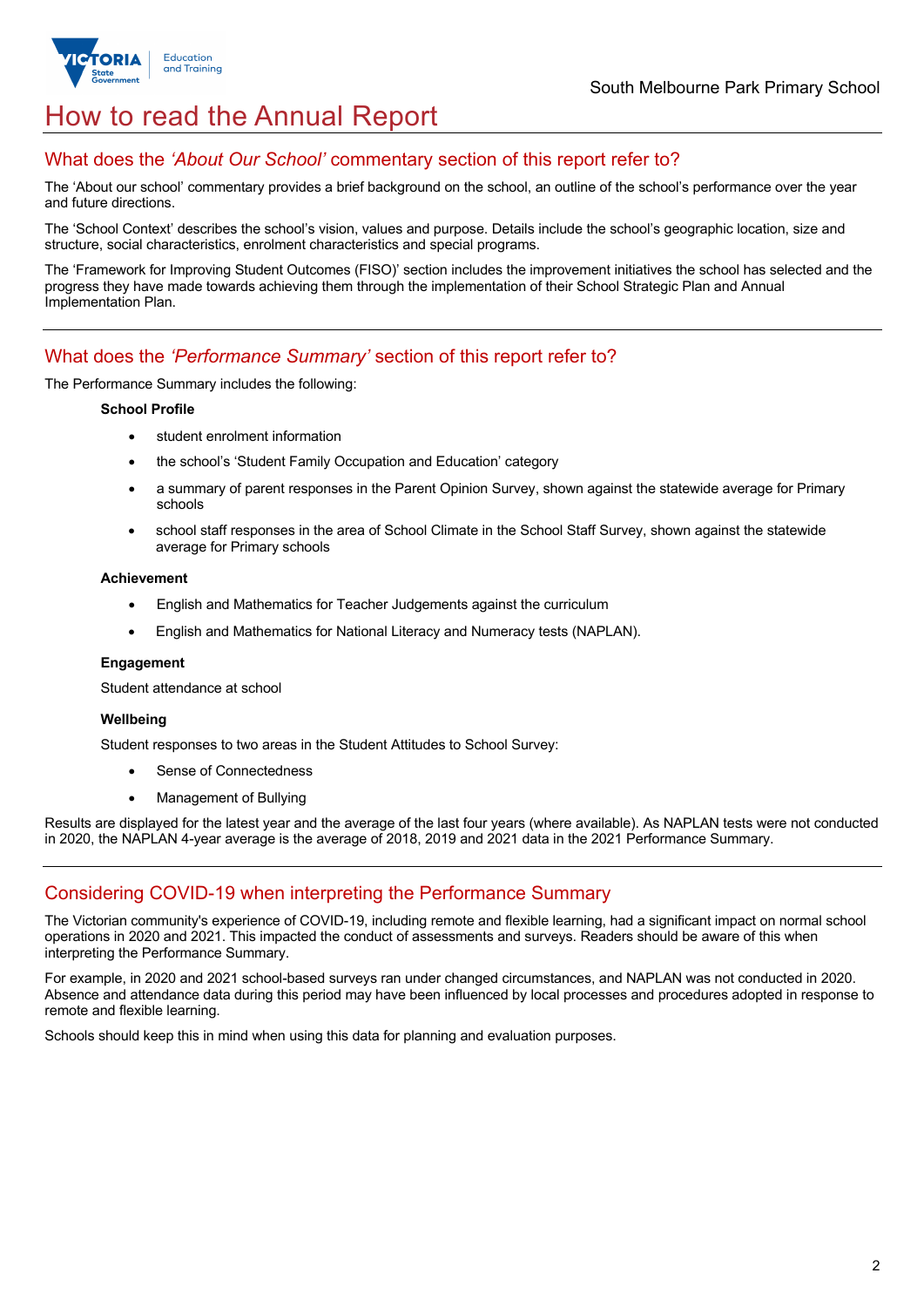

# How to read the Annual Report

## What does the *'About Our School'* commentary section of this report refer to?

The 'About our school' commentary provides a brief background on the school, an outline of the school's performance over the year and future directions.

The 'School Context' describes the school's vision, values and purpose. Details include the school's geographic location, size and structure, social characteristics, enrolment characteristics and special programs.

The 'Framework for Improving Student Outcomes (FISO)' section includes the improvement initiatives the school has selected and the progress they have made towards achieving them through the implementation of their School Strategic Plan and Annual Implementation Plan.

## What does the *'Performance Summary'* section of this report refer to?

The Performance Summary includes the following:

#### **School Profile**

- student enrolment information
- the school's 'Student Family Occupation and Education' category
- a summary of parent responses in the Parent Opinion Survey, shown against the statewide average for Primary schools
- school staff responses in the area of School Climate in the School Staff Survey, shown against the statewide average for Primary schools

#### **Achievement**

- English and Mathematics for Teacher Judgements against the curriculum
- English and Mathematics for National Literacy and Numeracy tests (NAPLAN).

#### **Engagement**

Student attendance at school

#### **Wellbeing**

Student responses to two areas in the Student Attitudes to School Survey:

- Sense of Connectedness
- Management of Bullying

Results are displayed for the latest year and the average of the last four years (where available). As NAPLAN tests were not conducted in 2020, the NAPLAN 4-year average is the average of 2018, 2019 and 2021 data in the 2021 Performance Summary.

#### Considering COVID-19 when interpreting the Performance Summary

The Victorian community's experience of COVID-19, including remote and flexible learning, had a significant impact on normal school operations in 2020 and 2021. This impacted the conduct of assessments and surveys. Readers should be aware of this when interpreting the Performance Summary.

For example, in 2020 and 2021 school-based surveys ran under changed circumstances, and NAPLAN was not conducted in 2020. Absence and attendance data during this period may have been influenced by local processes and procedures adopted in response to remote and flexible learning.

Schools should keep this in mind when using this data for planning and evaluation purposes.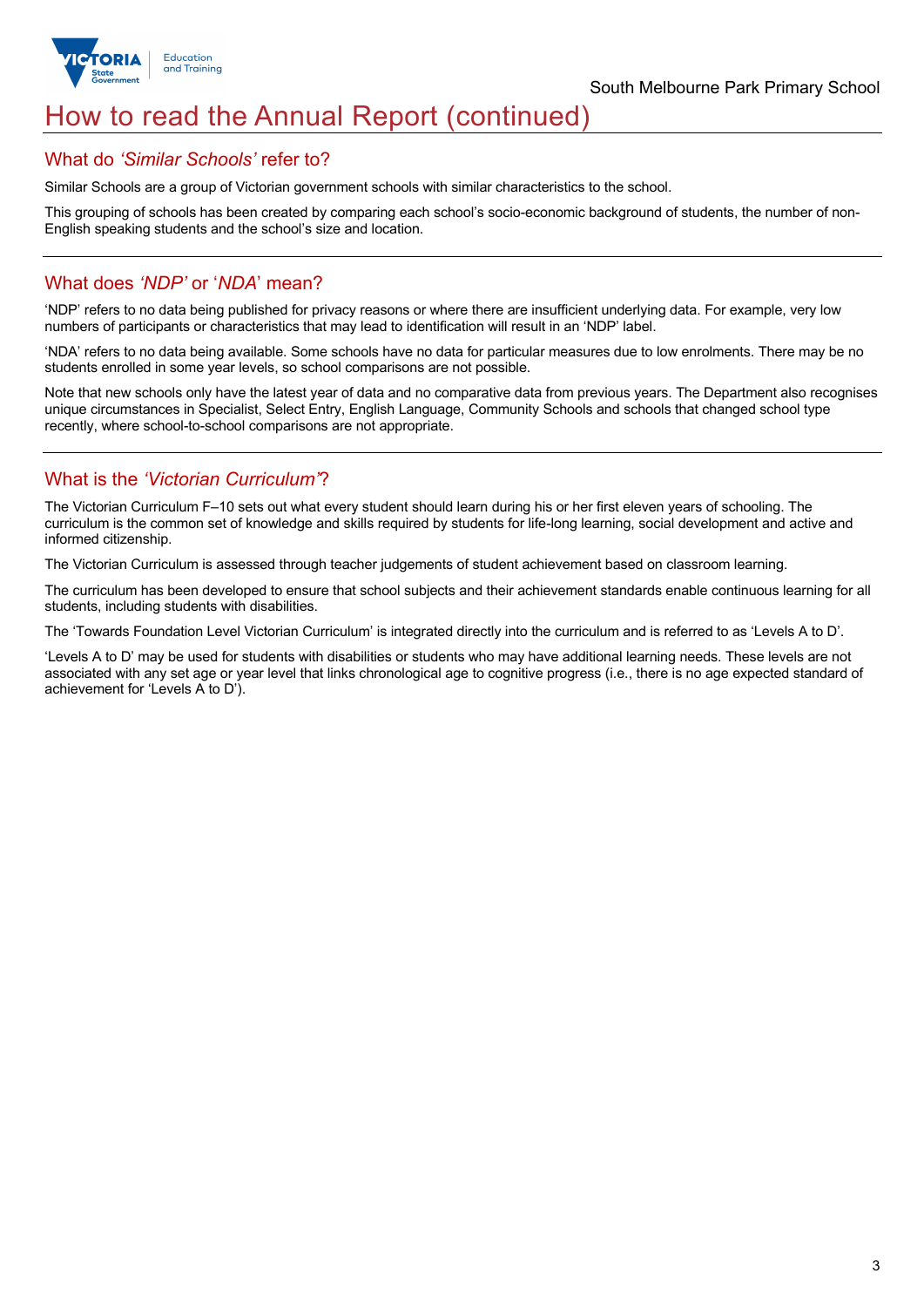

## How to read the Annual Report (continued)

## What do *'Similar Schools'* refer to?

Similar Schools are a group of Victorian government schools with similar characteristics to the school.

This grouping of schools has been created by comparing each school's socio-economic background of students, the number of non-English speaking students and the school's size and location.

## What does *'NDP'* or '*NDA*' mean?

'NDP' refers to no data being published for privacy reasons or where there are insufficient underlying data. For example, very low numbers of participants or characteristics that may lead to identification will result in an 'NDP' label.

'NDA' refers to no data being available. Some schools have no data for particular measures due to low enrolments. There may be no students enrolled in some year levels, so school comparisons are not possible.

Note that new schools only have the latest year of data and no comparative data from previous years. The Department also recognises unique circumstances in Specialist, Select Entry, English Language, Community Schools and schools that changed school type recently, where school-to-school comparisons are not appropriate.

## What is the *'Victorian Curriculum'*?

The Victorian Curriculum F–10 sets out what every student should learn during his or her first eleven years of schooling. The curriculum is the common set of knowledge and skills required by students for life-long learning, social development and active and informed citizenship.

The Victorian Curriculum is assessed through teacher judgements of student achievement based on classroom learning.

The curriculum has been developed to ensure that school subjects and their achievement standards enable continuous learning for all students, including students with disabilities.

The 'Towards Foundation Level Victorian Curriculum' is integrated directly into the curriculum and is referred to as 'Levels A to D'.

'Levels A to D' may be used for students with disabilities or students who may have additional learning needs. These levels are not associated with any set age or year level that links chronological age to cognitive progress (i.e., there is no age expected standard of achievement for 'Levels A to D').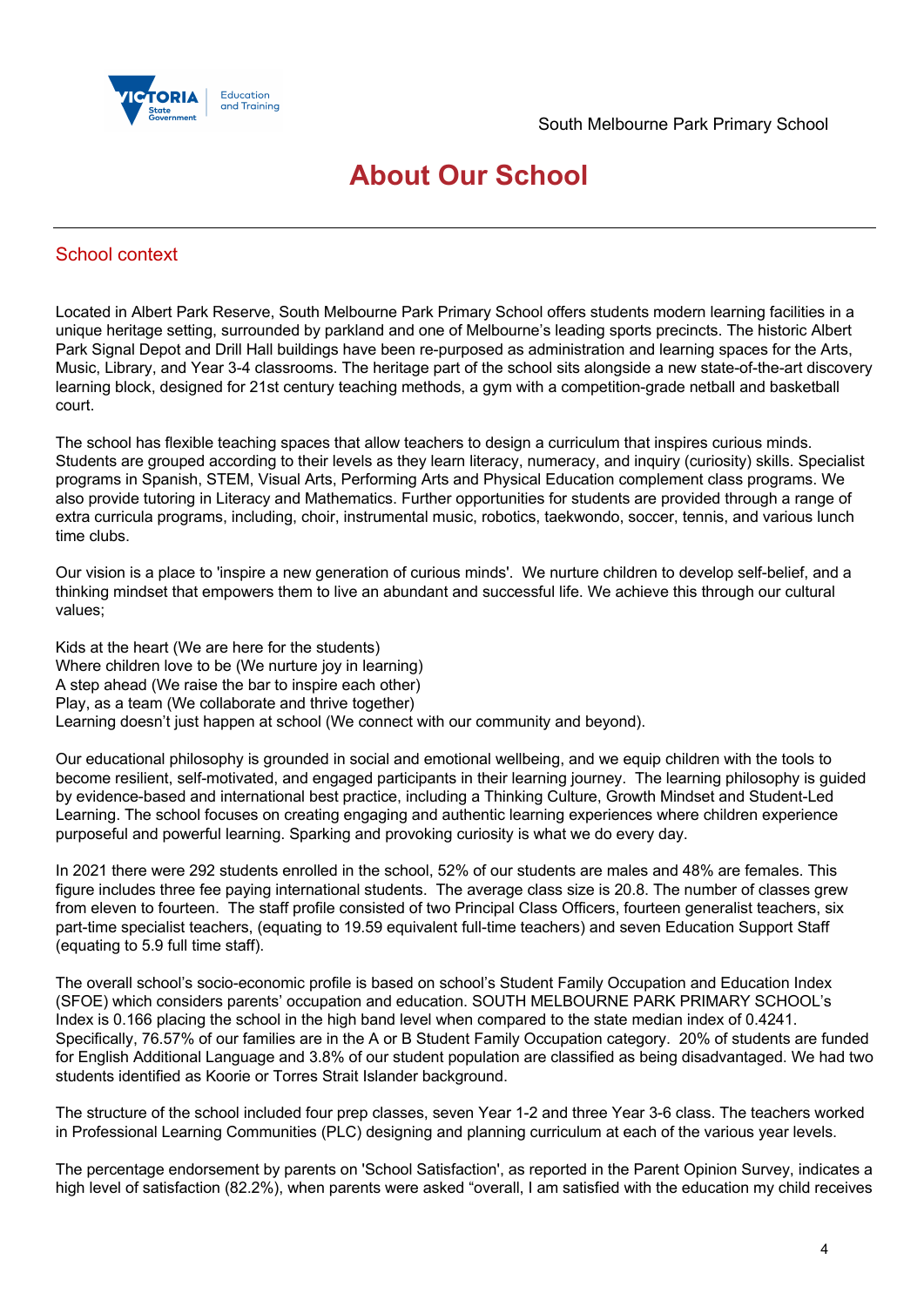

# **About Our School**

## School context

Located in Albert Park Reserve, South Melbourne Park Primary School offers students modern learning facilities in a unique heritage setting, surrounded by parkland and one of Melbourne's leading sports precincts. The historic Albert Park Signal Depot and Drill Hall buildings have been re-purposed as administration and learning spaces for the Arts, Music, Library, and Year 3-4 classrooms. The heritage part of the school sits alongside a new state-of-the-art discovery learning block, designed for 21st century teaching methods, a gym with a competition-grade netball and basketball court.

The school has flexible teaching spaces that allow teachers to design a curriculum that inspires curious minds. Students are grouped according to their levels as they learn literacy, numeracy, and inquiry (curiosity) skills. Specialist programs in Spanish, STEM, Visual Arts, Performing Arts and Physical Education complement class programs. We also provide tutoring in Literacy and Mathematics. Further opportunities for students are provided through a range of extra curricula programs, including, choir, instrumental music, robotics, taekwondo, soccer, tennis, and various lunch time clubs.

Our vision is a place to 'inspire a new generation of curious minds'. We nurture children to develop self-belief, and a thinking mindset that empowers them to live an abundant and successful life. We achieve this through our cultural values;

Kids at the heart (We are here for the students) Where children love to be (We nurture joy in learning) A step ahead (We raise the bar to inspire each other) Play, as a team (We collaborate and thrive together) Learning doesn't just happen at school (We connect with our community and beyond).

Our educational philosophy is grounded in social and emotional wellbeing, and we equip children with the tools to become resilient, self-motivated, and engaged participants in their learning journey. The learning philosophy is guided by evidence-based and international best practice, including a Thinking Culture, Growth Mindset and Student-Led Learning. The school focuses on creating engaging and authentic learning experiences where children experience purposeful and powerful learning. Sparking and provoking curiosity is what we do every day.

In 2021 there were 292 students enrolled in the school, 52% of our students are males and 48% are females. This figure includes three fee paying international students. The average class size is 20.8. The number of classes grew from eleven to fourteen. The staff profile consisted of two Principal Class Officers, fourteen generalist teachers, six part-time specialist teachers, (equating to 19.59 equivalent full-time teachers) and seven Education Support Staff (equating to 5.9 full time staff).

The overall school's socio-economic profile is based on school's Student Family Occupation and Education Index (SFOE) which considers parents' occupation and education. SOUTH MELBOURNE PARK PRIMARY SCHOOL's Index is 0.166 placing the school in the high band level when compared to the state median index of 0.4241. Specifically, 76.57% of our families are in the A or B Student Family Occupation category. 20% of students are funded for English Additional Language and 3.8% of our student population are classified as being disadvantaged. We had two students identified as Koorie or Torres Strait Islander background.

The structure of the school included four prep classes, seven Year 1-2 and three Year 3-6 class. The teachers worked in Professional Learning Communities (PLC) designing and planning curriculum at each of the various year levels.

The percentage endorsement by parents on 'School Satisfaction', as reported in the Parent Opinion Survey, indicates a high level of satisfaction (82.2%), when parents were asked "overall, I am satisfied with the education my child receives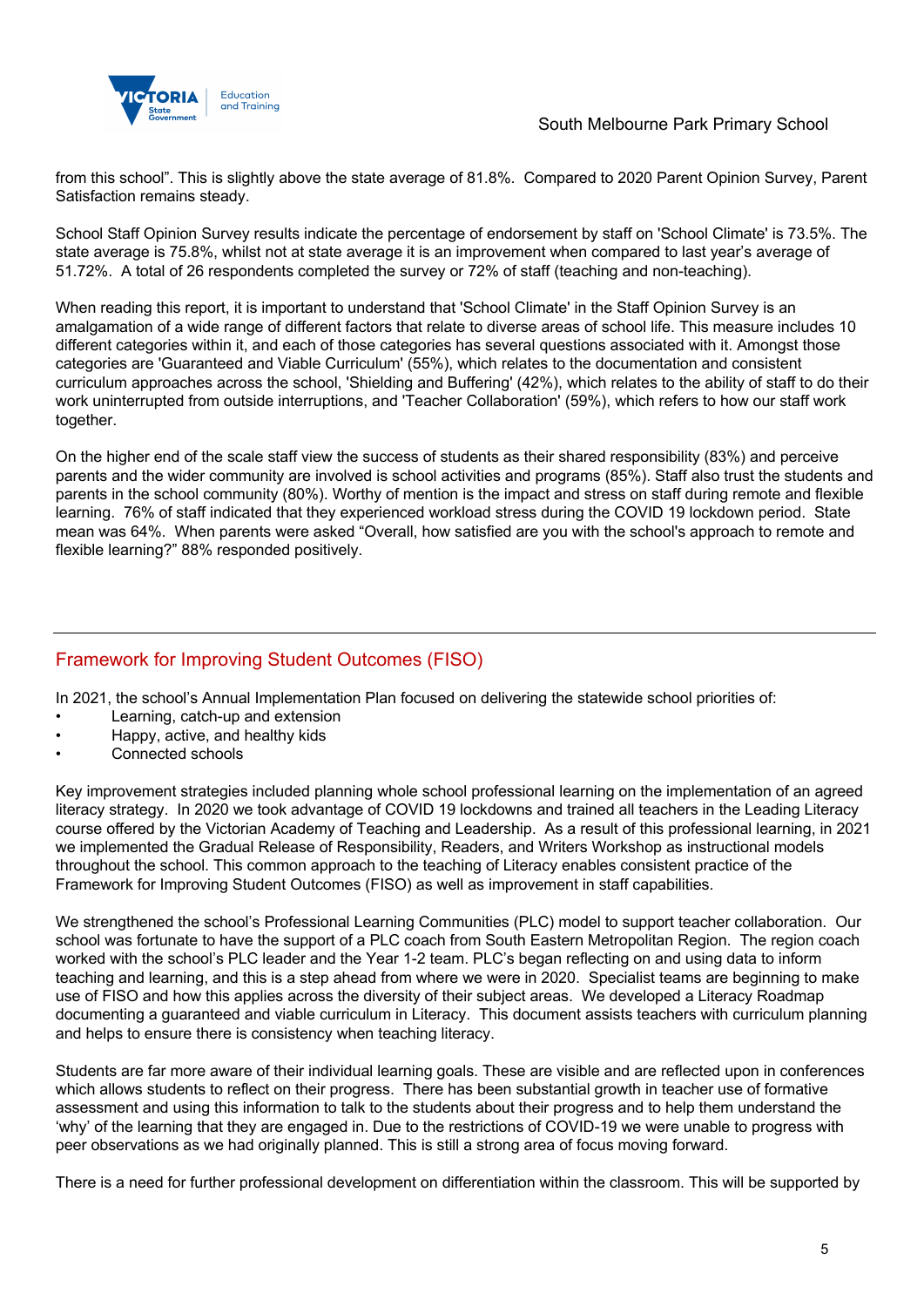from this school". This is slightly above the state average of 81.8%. Compared to 2020 Parent Opinion Survey, Parent Satisfaction remains steady.

School Staff Opinion Survey results indicate the percentage of endorsement by staff on 'School Climate' is 73.5%. The state average is 75.8%, whilst not at state average it is an improvement when compared to last year's average of 51.72%. A total of 26 respondents completed the survey or 72% of staff (teaching and non-teaching).

When reading this report, it is important to understand that 'School Climate' in the Staff Opinion Survey is an amalgamation of a wide range of different factors that relate to diverse areas of school life. This measure includes 10 different categories within it, and each of those categories has several questions associated with it. Amongst those categories are 'Guaranteed and Viable Curriculum' (55%), which relates to the documentation and consistent curriculum approaches across the school, 'Shielding and Buffering' (42%), which relates to the ability of staff to do their work uninterrupted from outside interruptions, and 'Teacher Collaboration' (59%), which refers to how our staff work together.

On the higher end of the scale staff view the success of students as their shared responsibility (83%) and perceive parents and the wider community are involved is school activities and programs (85%). Staff also trust the students and parents in the school community (80%). Worthy of mention is the impact and stress on staff during remote and flexible learning. 76% of staff indicated that they experienced workload stress during the COVID 19 lockdown period. State mean was 64%. When parents were asked "Overall, how satisfied are you with the school's approach to remote and flexible learning?" 88% responded positively.

## Framework for Improving Student Outcomes (FISO)

In 2021, the school's Annual Implementation Plan focused on delivering the statewide school priorities of:

- Learning, catch-up and extension
- Happy, active, and healthy kids
- Connected schools

Key improvement strategies included planning whole school professional learning on the implementation of an agreed literacy strategy. In 2020 we took advantage of COVID 19 lockdowns and trained all teachers in the Leading Literacy course offered by the Victorian Academy of Teaching and Leadership. As a result of this professional learning, in 2021 we implemented the Gradual Release of Responsibility, Readers, and Writers Workshop as instructional models throughout the school. This common approach to the teaching of Literacy enables consistent practice of the Framework for Improving Student Outcomes (FISO) as well as improvement in staff capabilities.

We strengthened the school's Professional Learning Communities (PLC) model to support teacher collaboration. Our school was fortunate to have the support of a PLC coach from South Eastern Metropolitan Region. The region coach worked with the school's PLC leader and the Year 1-2 team. PLC's began reflecting on and using data to inform teaching and learning, and this is a step ahead from where we were in 2020. Specialist teams are beginning to make use of FISO and how this applies across the diversity of their subject areas. We developed a Literacy Roadmap documenting a guaranteed and viable curriculum in Literacy. This document assists teachers with curriculum planning and helps to ensure there is consistency when teaching literacy.

Students are far more aware of their individual learning goals. These are visible and are reflected upon in conferences which allows students to reflect on their progress. There has been substantial growth in teacher use of formative assessment and using this information to talk to the students about their progress and to help them understand the 'why' of the learning that they are engaged in. Due to the restrictions of COVID-19 we were unable to progress with peer observations as we had originally planned. This is still a strong area of focus moving forward.

There is a need for further professional development on differentiation within the classroom. This will be supported by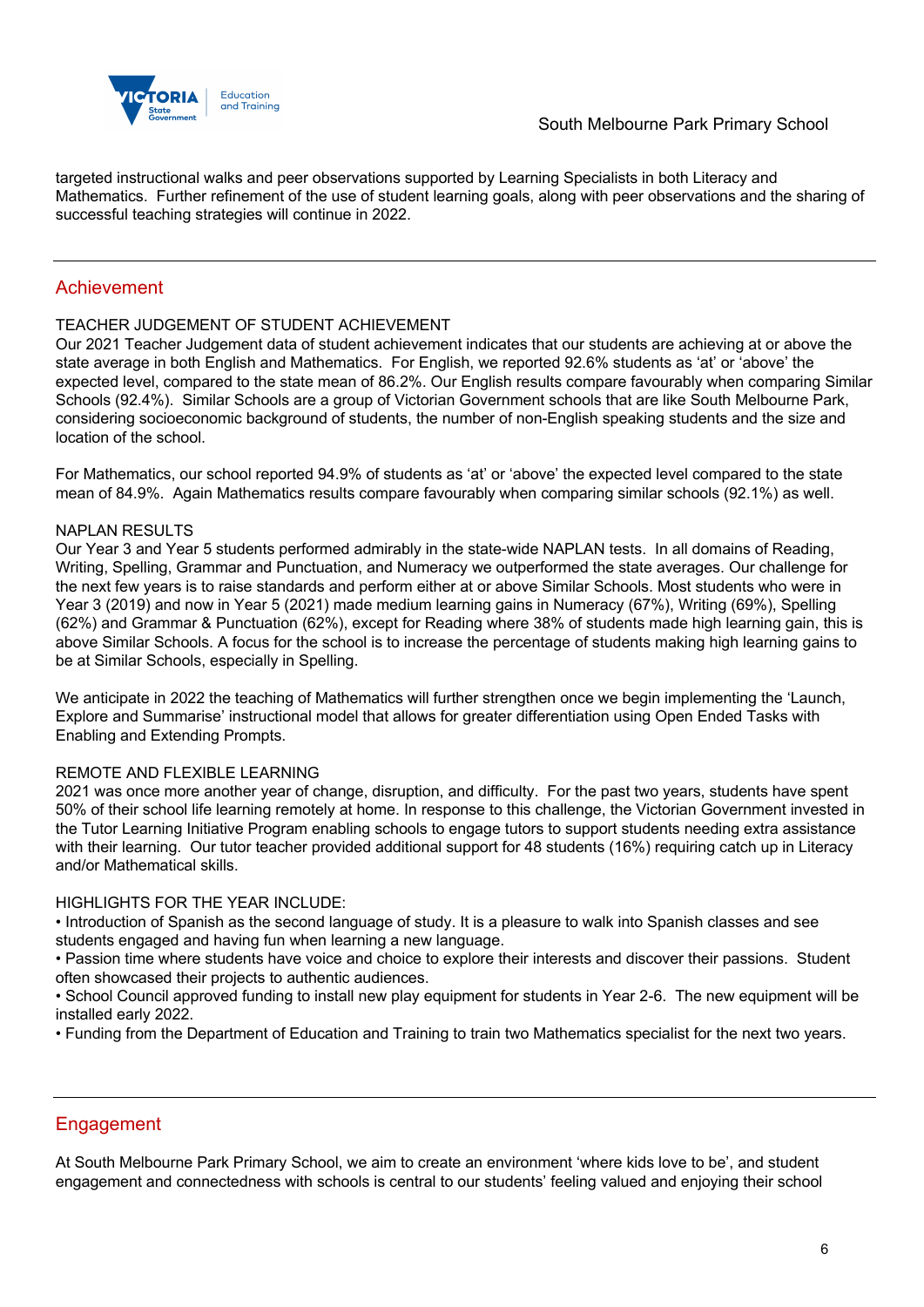

targeted instructional walks and peer observations supported by Learning Specialists in both Literacy and Mathematics. Further refinement of the use of student learning goals, along with peer observations and the sharing of successful teaching strategies will continue in 2022.

## Achievement

#### TEACHER JUDGEMENT OF STUDENT ACHIEVEMENT

Our 2021 Teacher Judgement data of student achievement indicates that our students are achieving at or above the state average in both English and Mathematics. For English, we reported 92.6% students as 'at' or 'above' the expected level, compared to the state mean of 86.2%. Our English results compare favourably when comparing Similar Schools (92.4%). Similar Schools are a group of Victorian Government schools that are like South Melbourne Park, considering socioeconomic background of students, the number of non-English speaking students and the size and location of the school.

For Mathematics, our school reported 94.9% of students as 'at' or 'above' the expected level compared to the state mean of 84.9%. Again Mathematics results compare favourably when comparing similar schools (92.1%) as well.

#### NAPLAN RESULTS

Our Year 3 and Year 5 students performed admirably in the state-wide NAPLAN tests. In all domains of Reading, Writing, Spelling, Grammar and Punctuation, and Numeracy we outperformed the state averages. Our challenge for the next few years is to raise standards and perform either at or above Similar Schools. Most students who were in Year 3 (2019) and now in Year 5 (2021) made medium learning gains in Numeracy (67%), Writing (69%), Spelling (62%) and Grammar & Punctuation (62%), except for Reading where 38% of students made high learning gain, this is above Similar Schools. A focus for the school is to increase the percentage of students making high learning gains to be at Similar Schools, especially in Spelling.

We anticipate in 2022 the teaching of Mathematics will further strengthen once we begin implementing the 'Launch, Explore and Summarise' instructional model that allows for greater differentiation using Open Ended Tasks with Enabling and Extending Prompts.

#### REMOTE AND FLEXIBLE LEARNING

2021 was once more another year of change, disruption, and difficulty. For the past two years, students have spent 50% of their school life learning remotely at home. In response to this challenge, the Victorian Government invested in the Tutor Learning Initiative Program enabling schools to engage tutors to support students needing extra assistance with their learning. Our tutor teacher provided additional support for 48 students (16%) requiring catch up in Literacy and/or Mathematical skills.

#### HIGHLIGHTS FOR THE YEAR INCLUDE:

• Introduction of Spanish as the second language of study. It is a pleasure to walk into Spanish classes and see students engaged and having fun when learning a new language.

• Passion time where students have voice and choice to explore their interests and discover their passions. Student often showcased their projects to authentic audiences.

• School Council approved funding to install new play equipment for students in Year 2-6. The new equipment will be installed early 2022.

• Funding from the Department of Education and Training to train two Mathematics specialist for the next two years.

#### **Engagement**

At South Melbourne Park Primary School, we aim to create an environment 'where kids love to be', and student engagement and connectedness with schools is central to our students' feeling valued and enjoying their school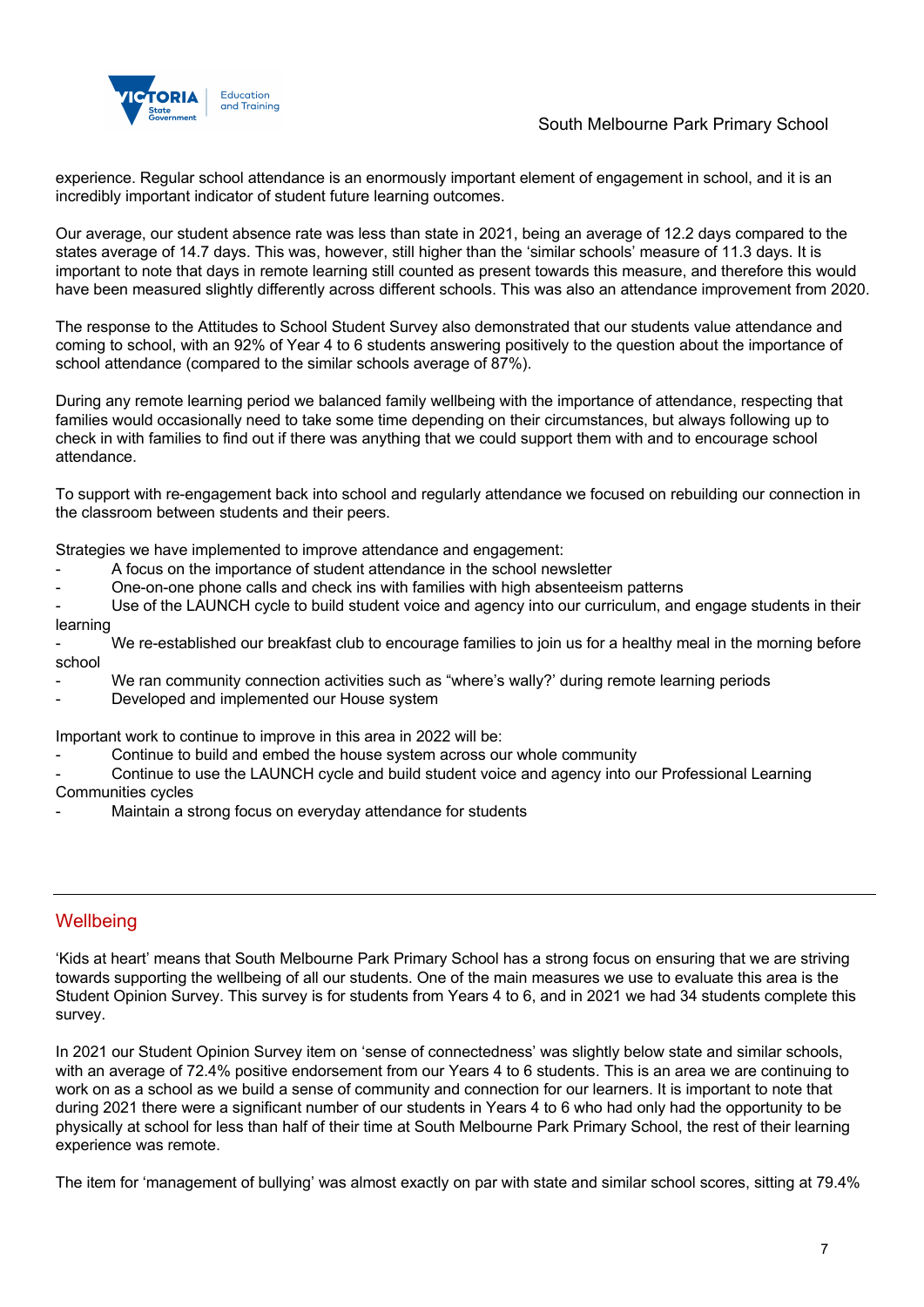

## South Melbourne Park Primary School

experience. Regular school attendance is an enormously important element of engagement in school, and it is an incredibly important indicator of student future learning outcomes.

Our average, our student absence rate was less than state in 2021, being an average of 12.2 days compared to the states average of 14.7 days. This was, however, still higher than the 'similar schools' measure of 11.3 days. It is important to note that days in remote learning still counted as present towards this measure, and therefore this would have been measured slightly differently across different schools. This was also an attendance improvement from 2020.

The response to the Attitudes to School Student Survey also demonstrated that our students value attendance and coming to school, with an 92% of Year 4 to 6 students answering positively to the question about the importance of school attendance (compared to the similar schools average of 87%).

During any remote learning period we balanced family wellbeing with the importance of attendance, respecting that families would occasionally need to take some time depending on their circumstances, but always following up to check in with families to find out if there was anything that we could support them with and to encourage school attendance.

To support with re-engagement back into school and regularly attendance we focused on rebuilding our connection in the classroom between students and their peers.

Strategies we have implemented to improve attendance and engagement:

- A focus on the importance of student attendance in the school newsletter
- One-on-one phone calls and check ins with families with high absenteeism patterns

Use of the LAUNCH cycle to build student voice and agency into our curriculum, and engage students in their learning

We re-established our breakfast club to encourage families to join us for a healthy meal in the morning before school

- We ran community connection activities such as "where's wally?' during remote learning periods
- Developed and implemented our House system

Important work to continue to improve in this area in 2022 will be:

Continue to build and embed the house system across our whole community

Continue to use the LAUNCH cycle and build student voice and agency into our Professional Learning Communities cycles

Maintain a strong focus on everyday attendance for students

## **Wellbeing**

'Kids at heart' means that South Melbourne Park Primary School has a strong focus on ensuring that we are striving towards supporting the wellbeing of all our students. One of the main measures we use to evaluate this area is the Student Opinion Survey. This survey is for students from Years 4 to 6, and in 2021 we had 34 students complete this survey.

In 2021 our Student Opinion Survey item on 'sense of connectedness' was slightly below state and similar schools, with an average of 72.4% positive endorsement from our Years 4 to 6 students. This is an area we are continuing to work on as a school as we build a sense of community and connection for our learners. It is important to note that during 2021 there were a significant number of our students in Years 4 to 6 who had only had the opportunity to be physically at school for less than half of their time at South Melbourne Park Primary School, the rest of their learning experience was remote.

The item for 'management of bullying' was almost exactly on par with state and similar school scores, sitting at 79.4%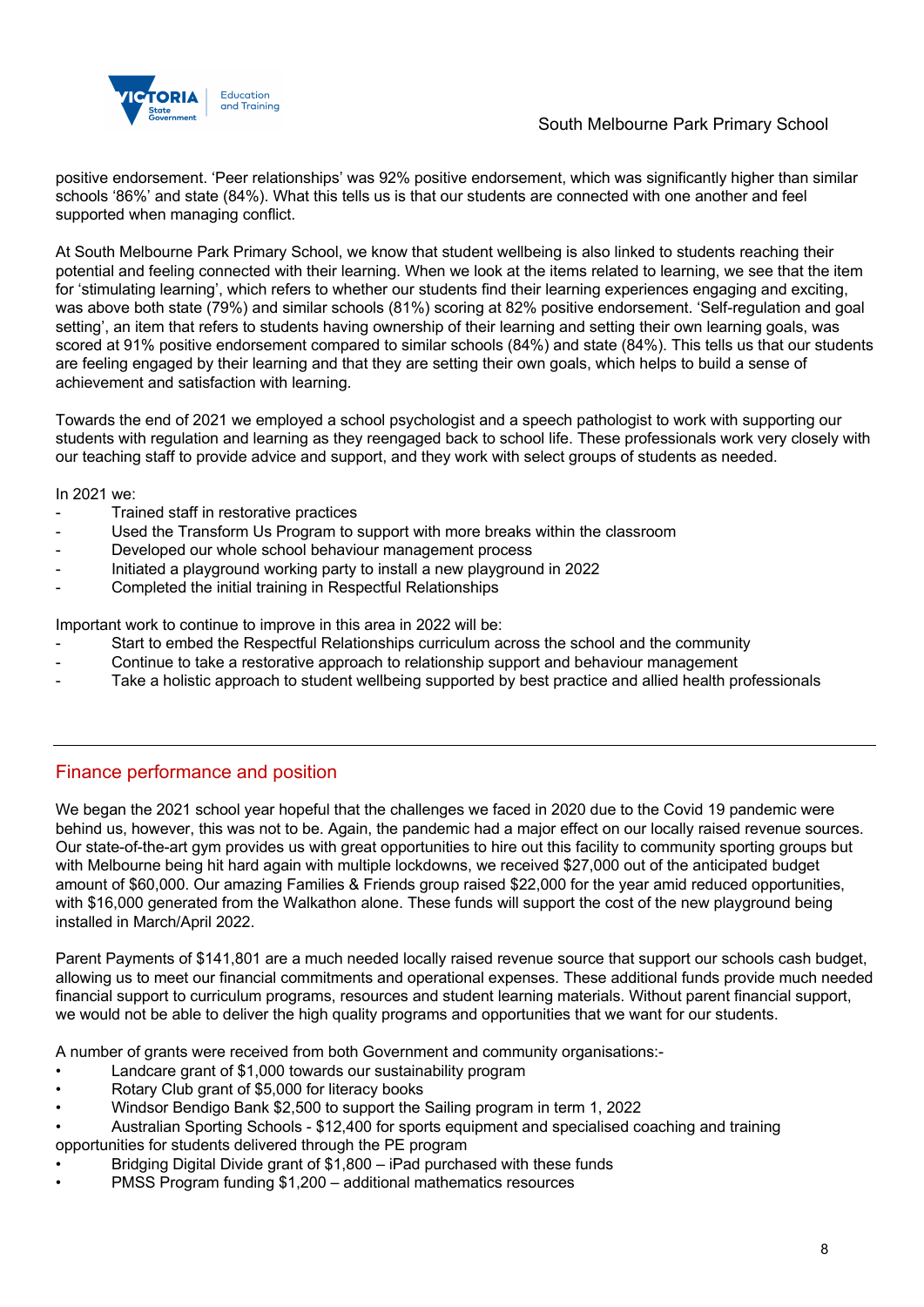

## South Melbourne Park Primary School

positive endorsement. 'Peer relationships' was 92% positive endorsement, which was significantly higher than similar schools '86%' and state (84%). What this tells us is that our students are connected with one another and feel supported when managing conflict.

At South Melbourne Park Primary School, we know that student wellbeing is also linked to students reaching their potential and feeling connected with their learning. When we look at the items related to learning, we see that the item for 'stimulating learning', which refers to whether our students find their learning experiences engaging and exciting, was above both state (79%) and similar schools (81%) scoring at 82% positive endorsement. 'Self-regulation and goal setting', an item that refers to students having ownership of their learning and setting their own learning goals, was scored at 91% positive endorsement compared to similar schools (84%) and state (84%). This tells us that our students are feeling engaged by their learning and that they are setting their own goals, which helps to build a sense of achievement and satisfaction with learning.

Towards the end of 2021 we employed a school psychologist and a speech pathologist to work with supporting our students with regulation and learning as they reengaged back to school life. These professionals work very closely with our teaching staff to provide advice and support, and they work with select groups of students as needed.

In 2021 we:

- Trained staff in restorative practices
- Used the Transform Us Program to support with more breaks within the classroom
- Developed our whole school behaviour management process
- Initiated a playground working party to install a new playground in 2022
- Completed the initial training in Respectful Relationships

Important work to continue to improve in this area in 2022 will be:

- Start to embed the Respectful Relationships curriculum across the school and the community
- Continue to take a restorative approach to relationship support and behaviour management
- Take a holistic approach to student wellbeing supported by best practice and allied health professionals

## Finance performance and position

We began the 2021 school year hopeful that the challenges we faced in 2020 due to the Covid 19 pandemic were behind us, however, this was not to be. Again, the pandemic had a major effect on our locally raised revenue sources. Our state-of-the-art gym provides us with great opportunities to hire out this facility to community sporting groups but with Melbourne being hit hard again with multiple lockdowns, we received \$27,000 out of the anticipated budget amount of \$60,000. Our amazing Families & Friends group raised \$22,000 for the year amid reduced opportunities, with \$16,000 generated from the Walkathon alone. These funds will support the cost of the new playground being installed in March/April 2022.

Parent Payments of \$141,801 are a much needed locally raised revenue source that support our schools cash budget, allowing us to meet our financial commitments and operational expenses. These additional funds provide much needed financial support to curriculum programs, resources and student learning materials. Without parent financial support, we would not be able to deliver the high quality programs and opportunities that we want for our students.

A number of grants were received from both Government and community organisations:-

- Landcare grant of \$1,000 towards our sustainability program
- Rotary Club grant of \$5,000 for literacy books
- Windsor Bendigo Bank \$2,500 to support the Sailing program in term 1, 2022
- Australian Sporting Schools \$12,400 for sports equipment and specialised coaching and training opportunities for students delivered through the PE program
- Bridging Digital Divide grant of \$1,800 iPad purchased with these funds
- PMSS Program funding \$1,200 additional mathematics resources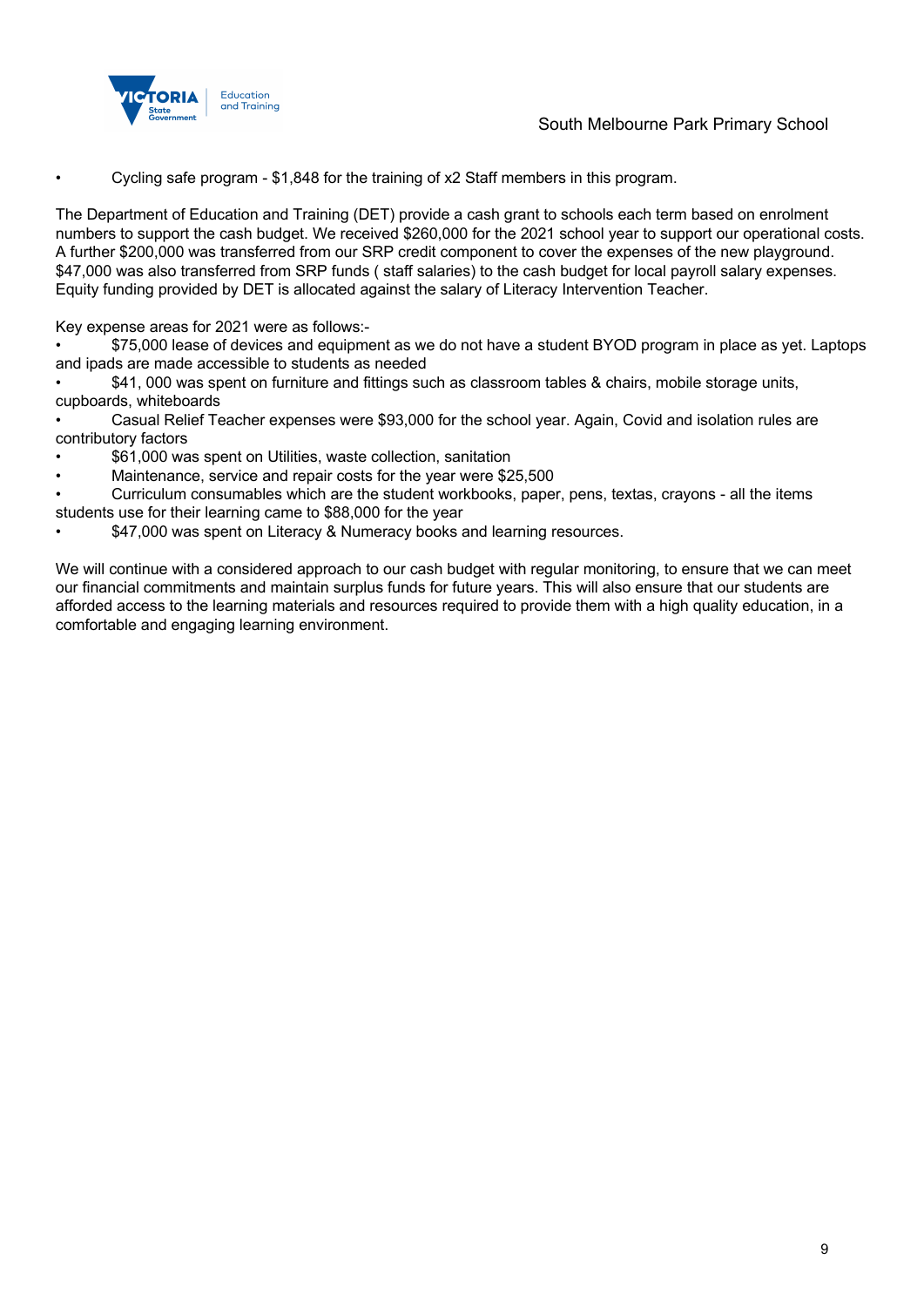



• Cycling safe program - \$1,848 for the training of x2 Staff members in this program.

The Department of Education and Training (DET) provide a cash grant to schools each term based on enrolment numbers to support the cash budget. We received \$260,000 for the 2021 school year to support our operational costs. A further \$200,000 was transferred from our SRP credit component to cover the expenses of the new playground. \$47,000 was also transferred from SRP funds ( staff salaries) to the cash budget for local payroll salary expenses. Equity funding provided by DET is allocated against the salary of Literacy Intervention Teacher.

Key expense areas for 2021 were as follows:-

• \$75,000 lease of devices and equipment as we do not have a student BYOD program in place as yet. Laptops and ipads are made accessible to students as needed

• \$41, 000 was spent on furniture and fittings such as classroom tables & chairs, mobile storage units, cupboards, whiteboards

• Casual Relief Teacher expenses were \$93,000 for the school year. Again, Covid and isolation rules are contributory factors

- \$61,000 was spent on Utilities, waste collection, sanitation
- Maintenance, service and repair costs for the year were \$25,500

• Curriculum consumables which are the student workbooks, paper, pens, textas, crayons - all the items students use for their learning came to \$88,000 for the year

\$47,000 was spent on Literacy & Numeracy books and learning resources.

We will continue with a considered approach to our cash budget with regular monitoring, to ensure that we can meet our financial commitments and maintain surplus funds for future years. This will also ensure that our students are afforded access to the learning materials and resources required to provide them with a high quality education, in a comfortable and engaging learning environment.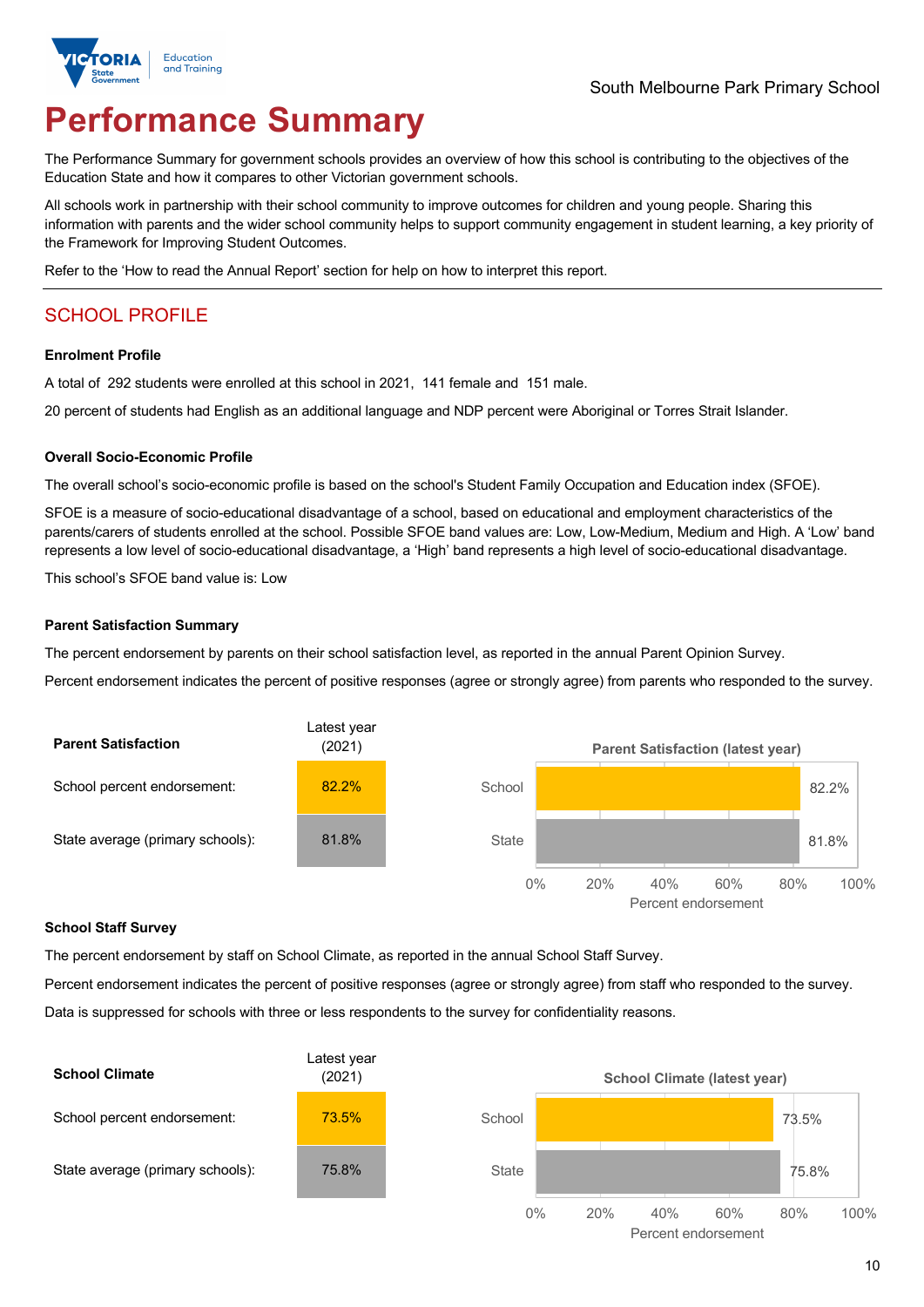

# **Performance Summary**

The Performance Summary for government schools provides an overview of how this school is contributing to the objectives of the Education State and how it compares to other Victorian government schools.

All schools work in partnership with their school community to improve outcomes for children and young people. Sharing this information with parents and the wider school community helps to support community engagement in student learning, a key priority of the Framework for Improving Student Outcomes.

Refer to the 'How to read the Annual Report' section for help on how to interpret this report.

## SCHOOL PROFILE

#### **Enrolment Profile**

A total of 292 students were enrolled at this school in 2021, 141 female and 151 male.

20 percent of students had English as an additional language and NDP percent were Aboriginal or Torres Strait Islander.

#### **Overall Socio-Economic Profile**

The overall school's socio-economic profile is based on the school's Student Family Occupation and Education index (SFOE).

SFOE is a measure of socio-educational disadvantage of a school, based on educational and employment characteristics of the parents/carers of students enrolled at the school. Possible SFOE band values are: Low, Low-Medium, Medium and High. A 'Low' band represents a low level of socio-educational disadvantage, a 'High' band represents a high level of socio-educational disadvantage.

This school's SFOE band value is: Low

#### **Parent Satisfaction Summary**

The percent endorsement by parents on their school satisfaction level, as reported in the annual Parent Opinion Survey.

Percent endorsement indicates the percent of positive responses (agree or strongly agree) from parents who responded to the survey.



#### **School Staff Survey**

The percent endorsement by staff on School Climate, as reported in the annual School Staff Survey.

Percent endorsement indicates the percent of positive responses (agree or strongly agree) from staff who responded to the survey. Data is suppressed for schools with three or less respondents to the survey for confidentiality reasons.

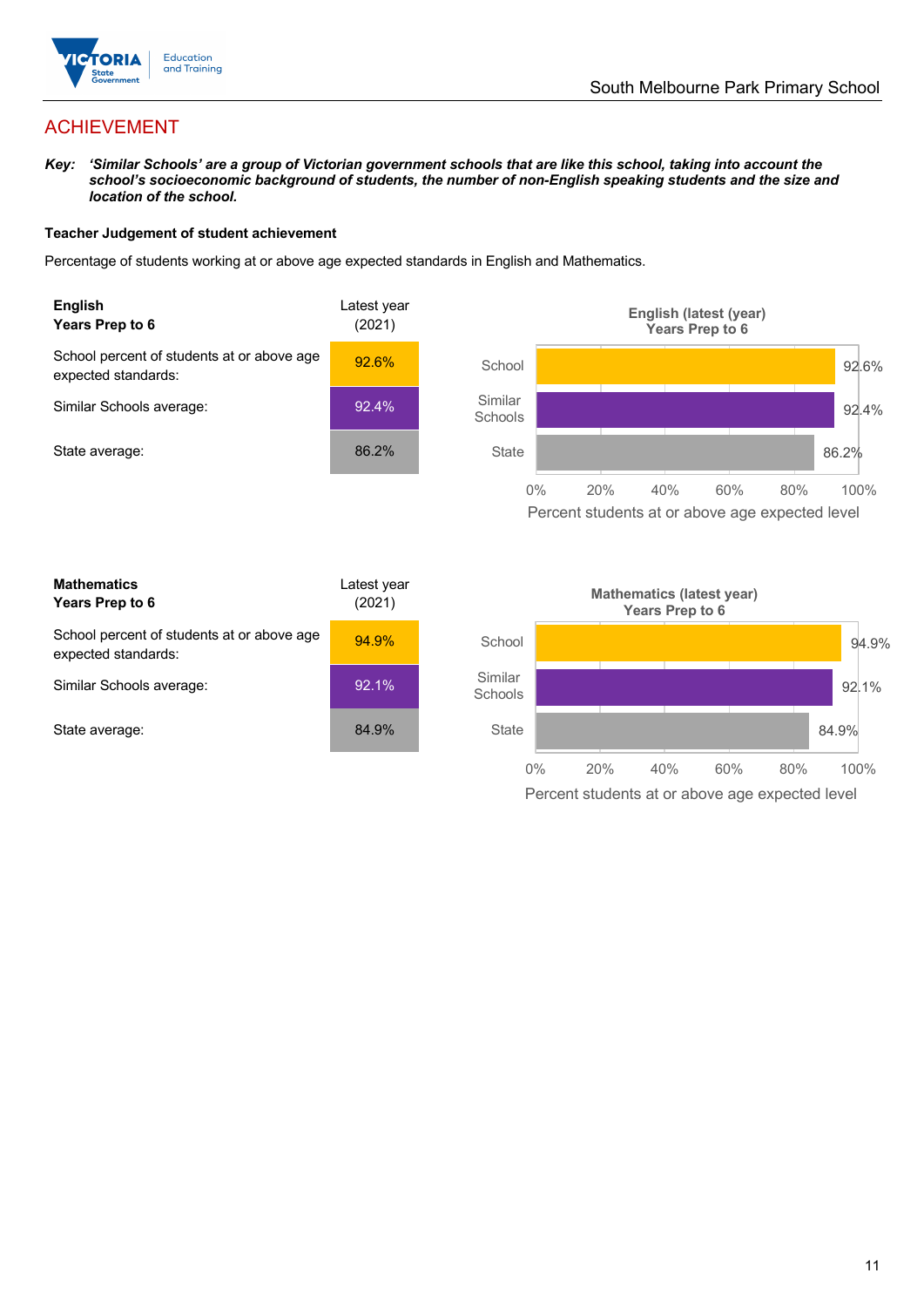

## ACHIEVEMENT

*Key: 'Similar Schools' are a group of Victorian government schools that are like this school, taking into account the school's socioeconomic background of students, the number of non-English speaking students and the size and location of the school.*

#### **Teacher Judgement of student achievement**

Percentage of students working at or above age expected standards in English and Mathematics.



**Mathematics Years Prep to 6** Latest year (2021) School percent of students at or above age expected standards: 94.9% Similar Schools average: 92.1% State average: 84.9%

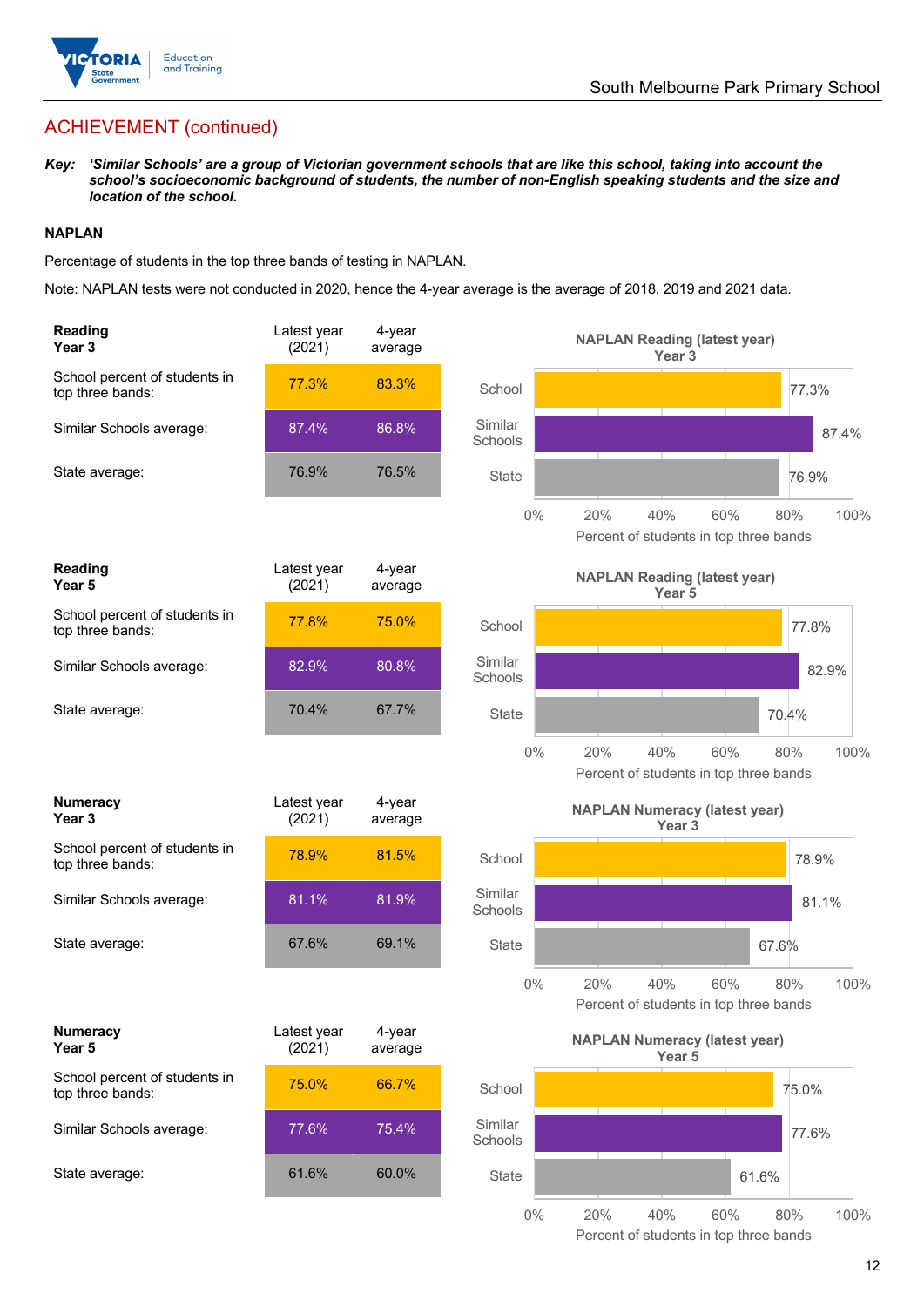

## ACHIEVEMENT (continued)

*Key: 'Similar Schools' are a group of Victorian government schools that are like this school, taking into account the school's socioeconomic background of students, the number of non-English speaking students and the size and location of the school.*

## **NAPLAN**

Percentage of students in the top three bands of testing in NAPLAN.

Note: NAPLAN tests were not conducted in 2020, hence the 4-year average is the average of 2018, 2019 and 2021 data.

| <b>Reading</b><br>Year <sub>3</sub>               | Latest year<br>(2021) | 4-year<br>average | <b>NAPLAN Reading (latest year)</b><br>Year <sub>3</sub>                            |
|---------------------------------------------------|-----------------------|-------------------|-------------------------------------------------------------------------------------|
| School percent of students in<br>top three bands: | 77.3%                 | 83.3%             | School<br>77.3%                                                                     |
| Similar Schools average:                          | 87.4%                 | 86.8%             | Similar<br>87.4%<br>Schools                                                         |
| State average:                                    | 76.9%                 | 76.5%             | State<br>76.9%                                                                      |
|                                                   |                       |                   | $0\%$<br>20%<br>60%<br>40%<br>80%<br>100%<br>Percent of students in top three bands |
| Reading<br>Year 5                                 | Latest year<br>(2021) | 4-year<br>average | <b>NAPLAN Reading (latest year)</b><br>Year 5                                       |
| School percent of students in<br>top three bands: | 77.8%                 | 75.0%             | School<br>77.8%                                                                     |
| Similar Schools average:                          | 82.9%                 | 80.8%             | Similar<br>82.9%<br>Schools                                                         |
| State average:                                    | 70.4%                 | 67.7%             | <b>State</b><br>70.4%                                                               |
|                                                   |                       |                   | 40%<br>$0\%$<br>20%<br>60%<br>80%<br>100%<br>Percent of students in top three bands |
| <b>Numeracy</b><br>Year 3                         | Latest year<br>(2021) | 4-year<br>average | <b>NAPLAN Numeracy (latest year)</b><br>Year <sub>3</sub>                           |
| School percent of students in<br>top three bands: | 78.9%                 | 81.5%             | School<br>78.9%                                                                     |
| Similar Schools average:                          | 81.1%                 | 81.9%             | Similar<br>81.1%<br>Schools                                                         |
| State average:                                    | 67.6%                 | 69.1%             | State<br>67.6%                                                                      |
|                                                   |                       |                   | $0\%$<br>20%<br>40%<br>100%<br>60%<br>80%<br>Percent of students in top three bands |
| <b>Numeracy</b><br>Year 5                         | Latest year<br>(2021) | 4-year<br>average | <b>NAPLAN Numeracy (latest year)</b><br>Year 5                                      |
| School percent of students in<br>top three bands: | 75.0%                 | 66.7%             | School<br>75.0%                                                                     |
| Similar Schools average:                          | 77.6%                 | 75.4%             | Similar<br>77.6%<br>Schools                                                         |
| State average:                                    | 61.6%                 | 60.0%             | <b>State</b><br>61.6%                                                               |
|                                                   |                       |                   | $0\%$<br>20%<br>40%<br>60%<br>$80\%$<br>100%                                        |

Percent of students in top three bands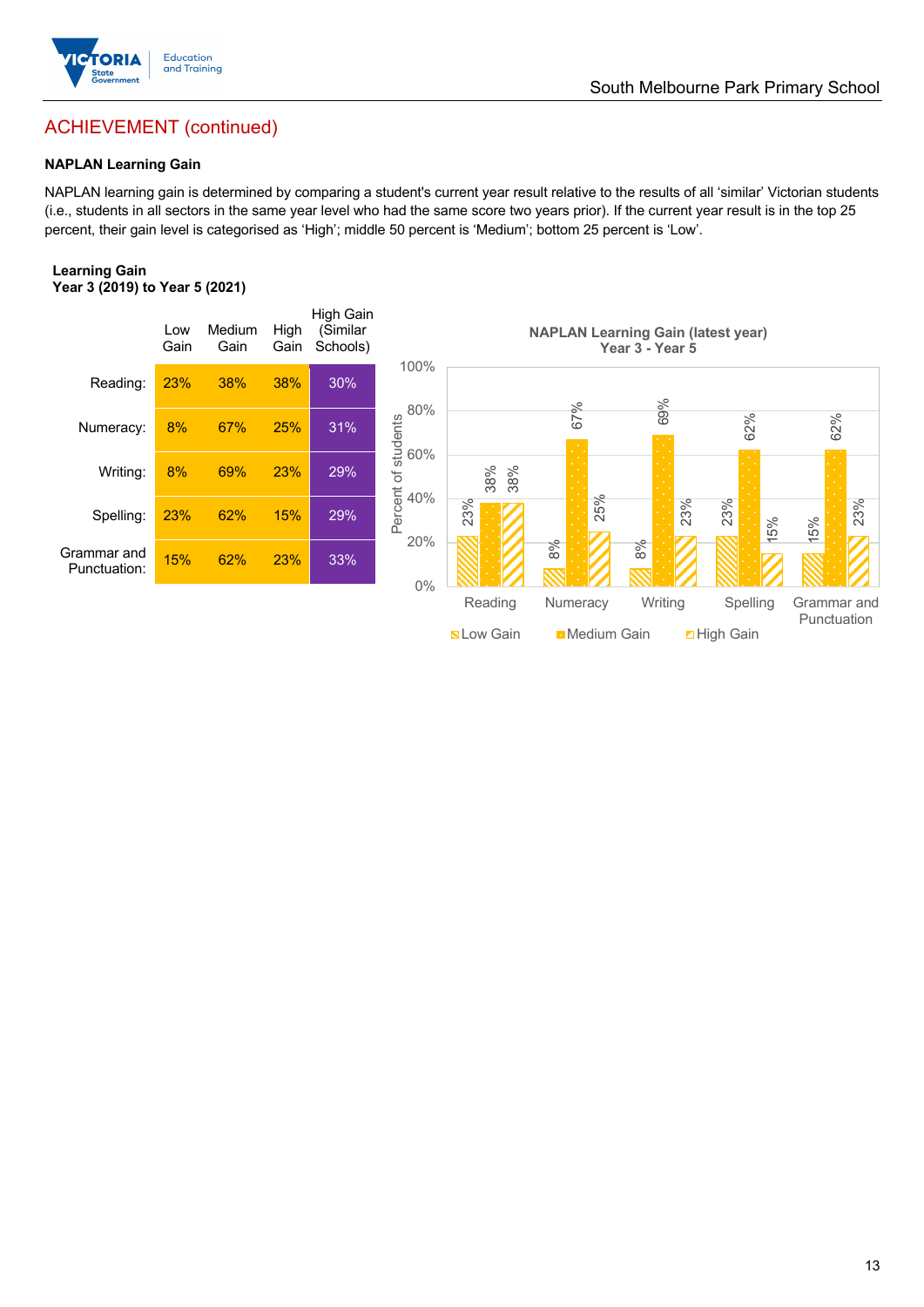

## ACHIEVEMENT (continued)

#### **NAPLAN Learning Gain**

NAPLAN learning gain is determined by comparing a student's current year result relative to the results of all 'similar' Victorian students (i.e., students in all sectors in the same year level who had the same score two years prior). If the current year result is in the top 25 percent, their gain level is categorised as 'High'; middle 50 percent is 'Medium'; bottom 25 percent is 'Low'.

#### **Learning Gain Year 3 (2019) to Year 5 (2021)**



**Nation Medium Gain High Gain**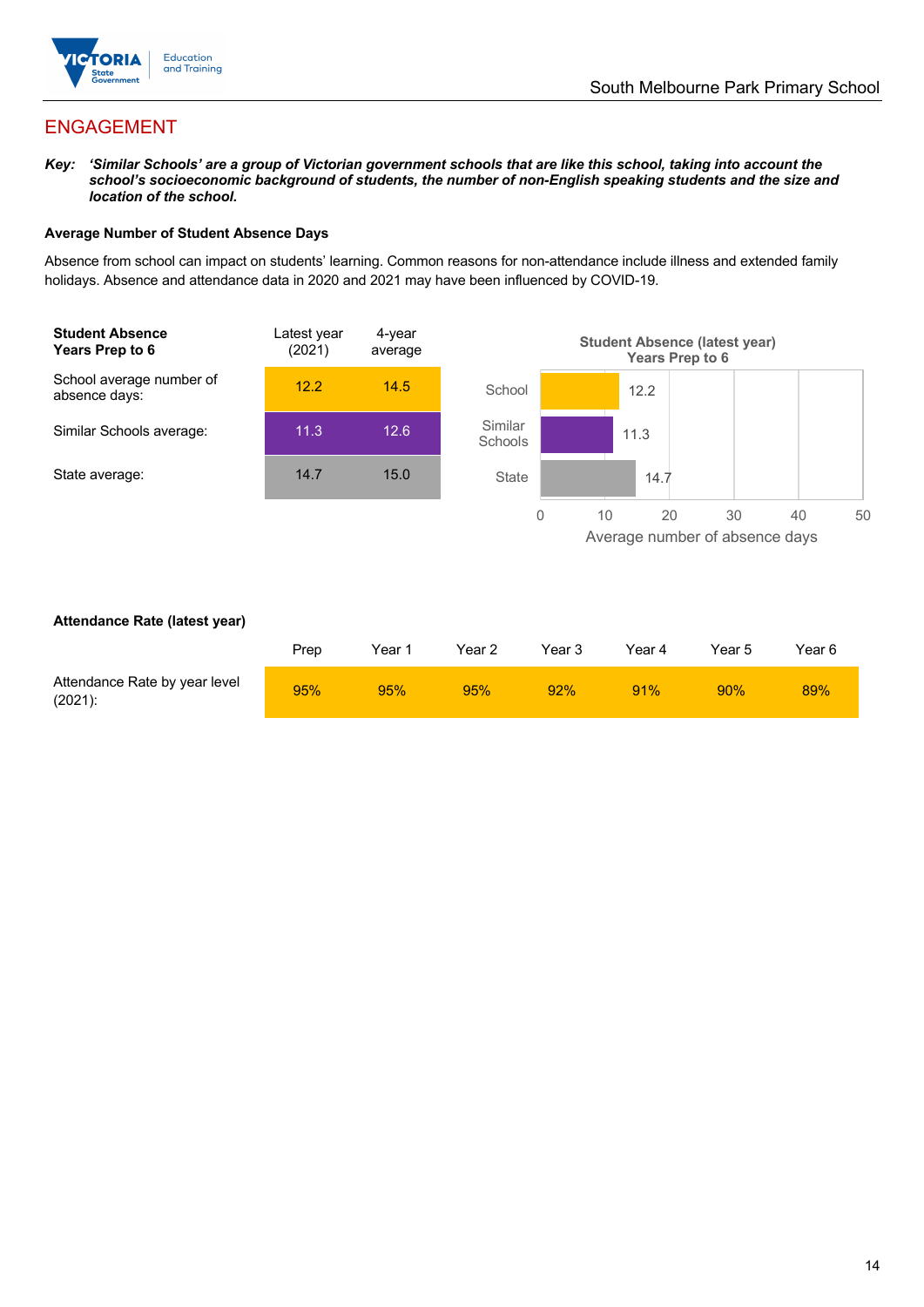

## ENGAGEMENT

*Key: 'Similar Schools' are a group of Victorian government schools that are like this school, taking into account the school's socioeconomic background of students, the number of non-English speaking students and the size and location of the school.*

#### **Average Number of Student Absence Days**

Absence from school can impact on students' learning. Common reasons for non-attendance include illness and extended family holidays. Absence and attendance data in 2020 and 2021 may have been influenced by COVID-19.



#### **Attendance Rate (latest year)**

|                                             | Prep | Year 1 | Year 2 | Year 3 | Year 4 | Year 5 | Year 6 |
|---------------------------------------------|------|--------|--------|--------|--------|--------|--------|
| Attendance Rate by year level<br>$(2021)$ : | 95%  | 95%    | 95%    | 92%    | 91%    | 90%    | 89%    |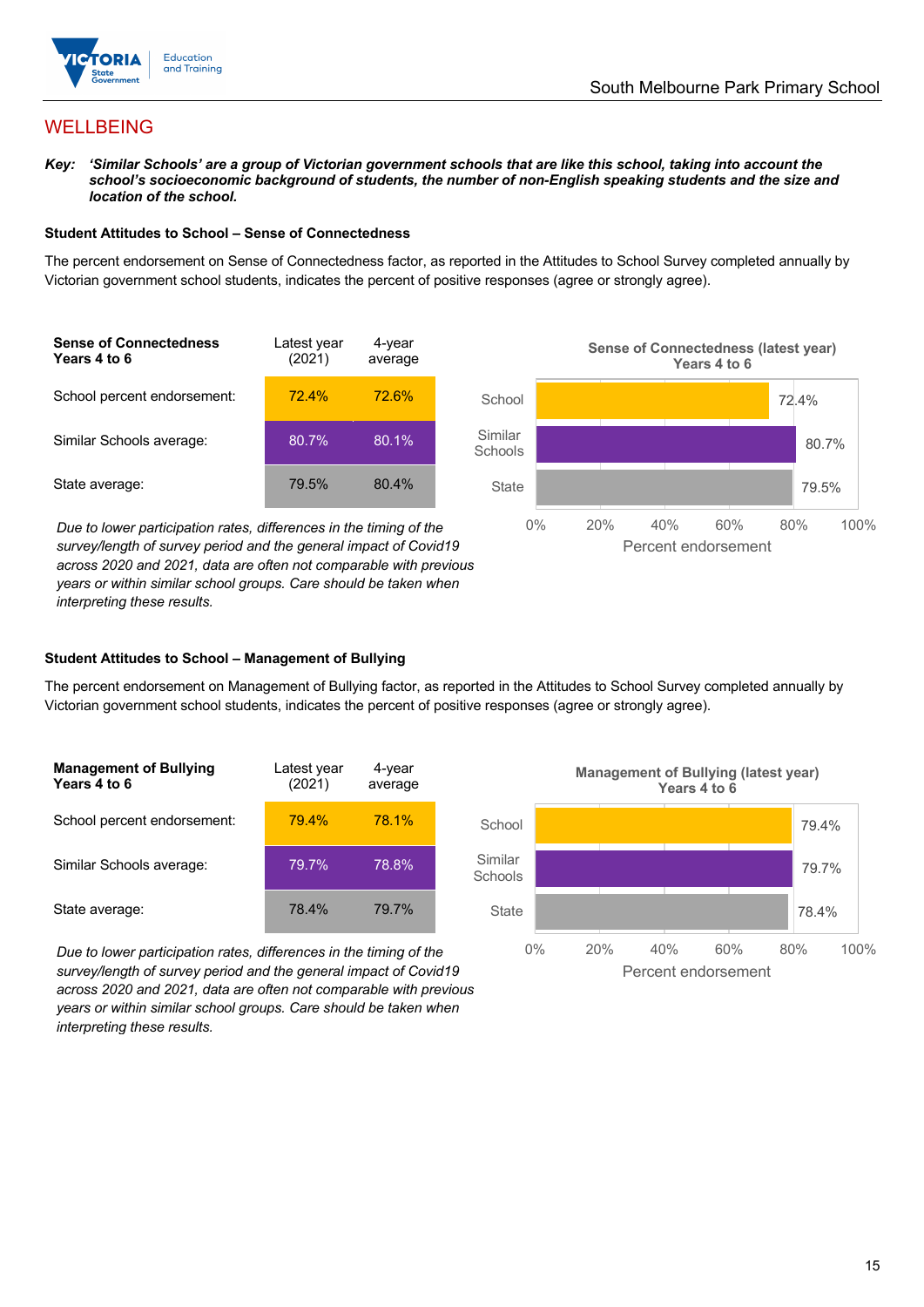

## WELLBEING

*Key: 'Similar Schools' are a group of Victorian government schools that are like this school, taking into account the*  school's socioeconomic background of students, the number of non-English speaking students and the size and *location of the school.*

#### **Student Attitudes to School – Sense of Connectedness**

The percent endorsement on Sense of Connectedness factor, as reported in the Attitudes to School Survey completed annually by Victorian government school students, indicates the percent of positive responses (agree or strongly agree).



*Due to lower participation rates, differences in the timing of the survey/length of survey period and the general impact of Covid19 across 2020 and 2021, data are often not comparable with previous years or within similar school groups. Care should be taken when interpreting these results.*



#### **Student Attitudes to School – Management of Bullying**

The percent endorsement on Management of Bullying factor, as reported in the Attitudes to School Survey completed annually by Victorian government school students, indicates the percent of positive responses (agree or strongly agree).

| <b>Management of Bullying</b><br>Years 4 to 6 | Latest year<br>(2021) | 4-year<br>average |  |
|-----------------------------------------------|-----------------------|-------------------|--|
| School percent endorsement:                   | 79.4%                 | 78.1%             |  |
| Similar Schools average:                      | 79.7%                 | 78.8%             |  |
| State average:                                | 78.4%                 | 79.7%             |  |

*Due to lower participation rates, differences in the timing of the survey/length of survey period and the general impact of Covid19 across 2020 and 2021, data are often not comparable with previous years or within similar school groups. Care should be taken when interpreting these results.*

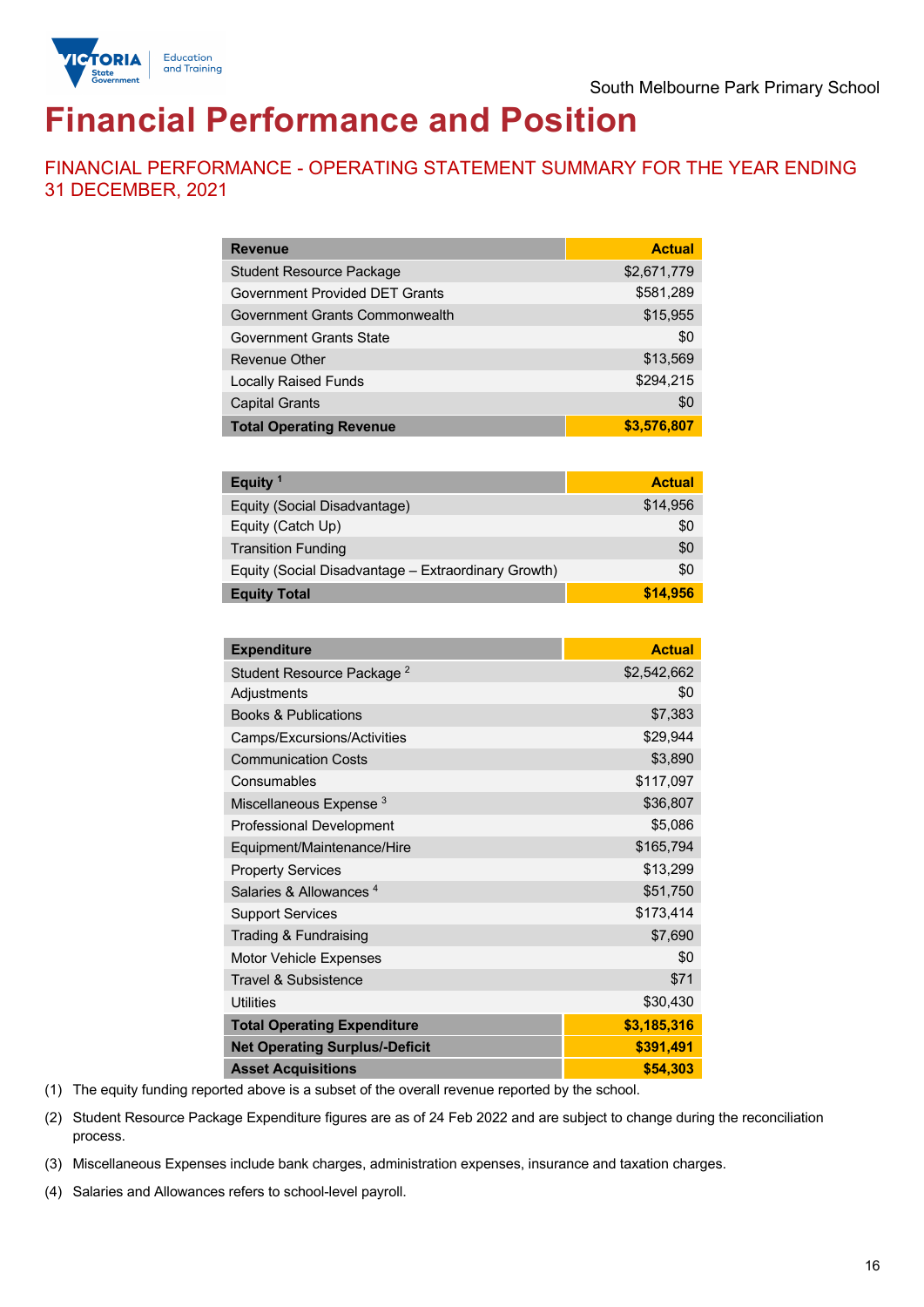

# **Financial Performance and Position**

FINANCIAL PERFORMANCE - OPERATING STATEMENT SUMMARY FOR THE YEAR ENDING 31 DECEMBER, 2021

| <b>Revenue</b>                  | <b>Actual</b> |
|---------------------------------|---------------|
| <b>Student Resource Package</b> | \$2,671,779   |
| Government Provided DET Grants  | \$581,289     |
| Government Grants Commonwealth  | \$15,955      |
| Government Grants State         | \$0           |
| Revenue Other                   | \$13,569      |
| <b>Locally Raised Funds</b>     | \$294,215     |
| <b>Capital Grants</b>           | \$0           |
| <b>Total Operating Revenue</b>  | \$3,576,807   |

| Equity <sup>1</sup>                                 | <b>Actual</b> |
|-----------------------------------------------------|---------------|
| Equity (Social Disadvantage)                        | \$14,956      |
| Equity (Catch Up)                                   | \$0           |
| <b>Transition Funding</b>                           | \$0           |
| Equity (Social Disadvantage - Extraordinary Growth) | \$0           |
| <b>Equity Total</b>                                 | \$14,956      |

| <b>Expenditure</b>                    | <b>Actual</b> |
|---------------------------------------|---------------|
| Student Resource Package <sup>2</sup> | \$2,542,662   |
| Adjustments                           | \$0           |
| <b>Books &amp; Publications</b>       | \$7,383       |
| Camps/Excursions/Activities           | \$29,944      |
| <b>Communication Costs</b>            | \$3,890       |
| Consumables                           | \$117,097     |
| Miscellaneous Expense <sup>3</sup>    | \$36,807      |
| <b>Professional Development</b>       | \$5,086       |
| Equipment/Maintenance/Hire            | \$165,794     |
| <b>Property Services</b>              | \$13,299      |
| Salaries & Allowances <sup>4</sup>    | \$51,750      |
| <b>Support Services</b>               | \$173,414     |
| Trading & Fundraising                 | \$7,690       |
| Motor Vehicle Expenses                | \$0           |
| Travel & Subsistence                  | \$71          |
| <b>Utilities</b>                      | \$30,430      |
| <b>Total Operating Expenditure</b>    | \$3,185,316   |
| <b>Net Operating Surplus/-Deficit</b> | \$391,491     |
| <b>Asset Acquisitions</b>             | \$54,303      |

(1) The equity funding reported above is a subset of the overall revenue reported by the school.

(2) Student Resource Package Expenditure figures are as of 24 Feb 2022 and are subject to change during the reconciliation process.

(3) Miscellaneous Expenses include bank charges, administration expenses, insurance and taxation charges.

(4) Salaries and Allowances refers to school-level payroll.